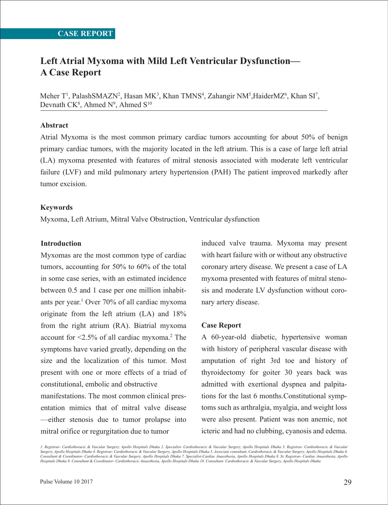# **Left Atrial Myxoma with Mild Left Ventricular Dysfunction— A Case Report**

Meher T<sup>1</sup>, PalashSMAZN<sup>2</sup>, Hasan MK<sup>3</sup>, Khan TMNS<sup>4</sup>, Zahangir NM<sup>5</sup>,HaiderMZ<sup>6</sup>, Khan SI<sup>7</sup>, Devnath  $CK^8$ , Ahmed  $N^9$ , Ahmed  $S^{10}$ 

# **Abstract**

Atrial Myxoma is the most common primary cardiac tumors accounting for about 50% of benign primary cardiac tumors, with the majority located in the left atrium. This is a case of large left atrial (LA) myxoma presented with features of mitral stenosis associated with moderate left ventricular failure (LVF) and mild pulmonary artery hypertension (PAH) The patient improved markedly after tumor excision.

# **Keywords**

Myxoma, Left Atrium, Mitral Valve Obstruction, Ventricular dysfunction

# **Introduction**

Myxomas are the most common type of cardiac tumors, accounting for 50% to 60% of the total in some case series, with an estimated incidence between 0.5 and 1 case per one million inhabitants per year.1 Over 70% of all cardiac myxoma originate from the left atrium (LA) and 18% from the right atrium (RA). Biatrial myxoma account for <2.5% of all cardiac myxoma.2 The symptoms have varied greatly, depending on the size and the localization of this tumor. Most present with one or more effects of a triad of constitutional, embolic and obstructive

manifestations. The most common clinical presentation mimics that of mitral valve disease —either stenosis due to tumor prolapse into mitral orifice or regurgitation due to tumor

induced valve trauma. Myxoma may present with heart failure with or without any obstructive coronary artery disease. We present a case of LA myxoma presented with features of mitral stenosis and moderate LV dysfunction without coronary artery disease.

#### **Case Report**

A 60-year-old diabetic, hypertensive woman with history of peripheral vascular disease with amputation of right 3rd toe and history of thyroidectomy for goiter 30 years back was admitted with exertional dyspnea and palpitations for the last 6 months.Constitutional symptoms such as arthralgia, myalgia, and weight loss were also present. Patient was non anemic, not icteric and had no clubbing, cyanosis and edema.

*1. Registrar- Cardiothoracic & Vascular Surgery, Apollo Hospitals Dhaka 2. Specialist- Cardiothoracic & Vascular Surgery, Apollo Hospitals Dhaka 3. Registrar- Cardiothoracic & Vascular*  Surgery, Apollo Hospitals Dhaka 4. Registrar- Cardiothoracic & Vascular Surgery, Apollo Hospitals Dhaka 5. Associate consultant, Cardiothoracic & Vascular Surgery, Apollo Hospitals Dhaka 6.<br>Consultant & Coordinator- Cardio *Hospitals Dhaka 9. Consultant & Coordinator- Cardiothoracic Anaesthesia, Apollo Hospitals Dhaka 10. Consultant- Cardiothoracic & Vascular Surgery, Apollo Hospitals Dhaka*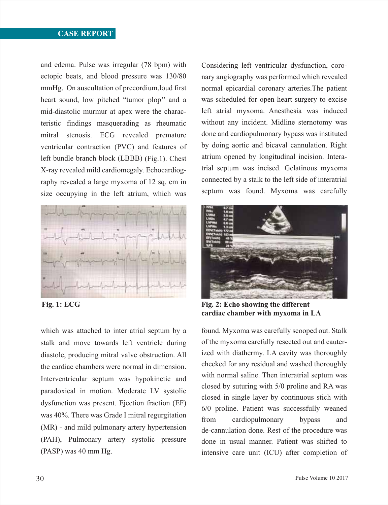# **CASE REPORT**

and edema. Pulse was irregular (78 bpm) with ectopic beats, and blood pressure was 130/80 mmHg. On auscultation of precordium,loud first heart sound, low pitched "tumor plop'' and a mid-diastolic murmur at apex were the characteristic findings masquerading as rheumatic mitral stenosis. ECG revealed premature ventricular contraction (PVC) and features of left bundle branch block (LBBB) (Fig.1). Chest X-ray revealed mild cardiomegaly. Echocardiography revealed a large myxoma of 12 sq. cm in size occupying in the left atrium, which was



which was attached to inter atrial septum by a stalk and move towards left ventricle during diastole, producing mitral valve obstruction. All the cardiac chambers were normal in dimension. Interventricular septum was hypokinetic and paradoxical in motion. Moderate LV systolic dysfunction was present. Ejection fraction (EF) was 40%. There was Grade I mitral regurgitation (MR) - and mild pulmonary artery hypertension (PAH), Pulmonary artery systolic pressure (PASP) was 40 mm Hg.

Considering left ventricular dysfunction, coronary angiography was performed which revealed normal epicardial coronary arteries.The patient was scheduled for open heart surgery to excise left atrial myxoma. Anesthesia was induced without any incident. Midline sternotomy was done and cardiopulmonary bypass was instituted by doing aortic and bicaval cannulation. Right atrium opened by longitudinal incision. Interatrial septum was incised. Gelatinous myxoma connected by a stalk to the left side of interatrial septum was found. Myxoma was carefully



**Fig. 1: ECG Fig. 2: Echo showing the different cardiac chamber with myxoma in LA**

found. Myxoma was carefully scooped out. Stalk of the myxoma carefully resected out and cauterized with diathermy. LA cavity was thoroughly checked for any residual and washed thoroughly with normal saline. Then interatrial septum was closed by suturing with 5/0 proline and RA was closed in single layer by continuous stich with 6/0 proline. Patient was successfully weaned from cardiopulmonary bypass and de-cannulation done. Rest of the procedure was done in usual manner. Patient was shifted to intensive care unit (ICU) after completion of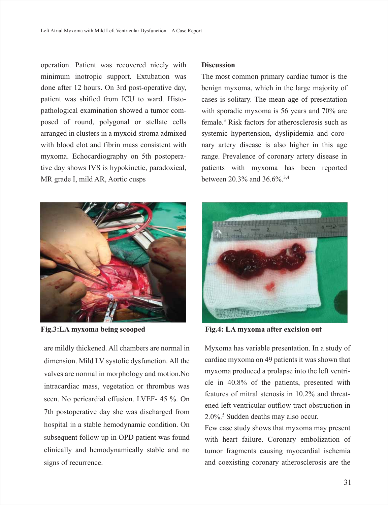operation. Patient was recovered nicely with minimum inotropic support. Extubation was done after 12 hours. On 3rd post-operative day, patient was shifted from ICU to ward. Histopathological examination showed a tumor composed of round, polygonal or stellate cells arranged in clusters in a myxoid stroma admixed with blood clot and fibrin mass consistent with myxoma. Echocardiography on 5th postoperative day shows IVS is hypokinetic, paradoxical, MR grade I, mild AR, Aortic cusps



are mildly thickened. All chambers are normal in dimension. Mild LV systolic dysfunction. All the valves are normal in morphology and motion.No intracardiac mass, vegetation or thrombus was seen. No pericardial effusion. LVEF- 45 %. On 7th postoperative day she was discharged from hospital in a stable hemodynamic condition. On subsequent follow up in OPD patient was found clinically and hemodynamically stable and no signs of recurrence.

# **Discussion**

The most common primary cardiac tumor is the benign myxoma, which in the large majority of cases is solitary. The mean age of presentation with sporadic myxoma is 56 years and 70% are female.3 Risk factors for atherosclerosis such as systemic hypertension, dyslipidemia and coronary artery disease is also higher in this age range. Prevalence of coronary artery disease in patients with myxoma has been reported between 20.3% and 36.6%.3,4



**Fig.3:LA myxoma being scooped Fig.4: LA myxoma after excision out**

Myxoma has variable presentation. In a study of cardiac myxoma on 49 patients it was shown that myxoma produced a prolapse into the left ventricle in 40.8% of the patients, presented with features of mitral stenosis in 10.2% and threatened left ventricular outflow tract obstruction in 2.0%.5 Sudden deaths may also occur.

Few case study shows that myxoma may present with heart failure. Coronary embolization of tumor fragments causing myocardial ischemia and coexisting coronary atherosclerosis are the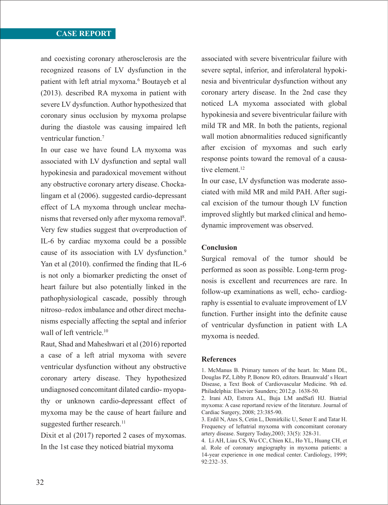# **CASE REPORT**

and coexisting coronary atherosclerosis are the recognized reasons of LV dysfunction in the patient with left atrial myxoma.<sup>6</sup> Boutayeb et al (2013). described RA myxoma in patient with severe LV dysfunction. Author hypothesized that coronary sinus occlusion by myxoma prolapse during the diastole was causing impaired left ventricular function.7

In our case we have found LA myxoma was associated with LV dysfunction and septal wall hypokinesia and paradoxical movement without any obstructive coronary artery disease. Chockalingam et al (2006). suggested cardio-depressant effect of LA myxoma through unclear mechanisms that reversed only after myxoma removal<sup>8</sup>. Very few studies suggest that overproduction of IL-6 by cardiac myxoma could be a possible cause of its association with LV dysfunction.<sup>9</sup> Yan et al (2010). confirmed the finding that IL-6 is not only a biomarker predicting the onset of heart failure but also potentially linked in the pathophysiological cascade, possibly through nitroso–redox imbalance and other direct mechanisms especially affecting the septal and inferior wall of left ventricle.<sup>10</sup>

Raut, Shad and Maheshwari et al (2016) reported a case of a left atrial myxoma with severe ventricular dysfunction without any obstructive coronary artery disease. They hypothesized undiagnosed concomitant dilated cardio- myopathy or unknown cardio-depressant effect of myxoma may be the cause of heart failure and suggested further research.<sup>11</sup>

Dixit et al (2017) reported 2 cases of myxomas. In the 1st case they noticed biatrial myxoma

associated with severe biventricular failure with severe septal, inferior, and inferolateral hypokinesia and biventricular dysfunction without any coronary artery disease. In the 2nd case they noticed LA myxoma associated with global hypokinesia and severe biventricular failure with mild TR and MR. In both the patients, regional wall motion abnormalities reduced significantly after excision of myxomas and such early response points toward the removal of a causative element.<sup>12</sup>

In our case, LV dysfunction was moderate associated with mild MR and mild PAH. After sugical excision of the tumour though LV function improved slightly but marked clinical and hemodynamic improvement was observed.

#### **Conclusion**

Surgical removal of the tumor should be performed as soon as possible. Long-term prognosis is excellent and recurrences are rare. In follow-up examinations as well, echo- cardiography is essential to evaluate improvement of LV function. Further insight into the definite cause of ventricular dysfunction in patient with LA myxoma is needed.

#### **References**

<sup>1.</sup> McManus B. Primary tumors of the heart. In: Mann DL, Douglas PZ, Libby P, Bonow RO, editors. Braunwald' s Heart Disease, a Text Book of Cardiovascular Medicine. 9th ed. Philadelphia: Elsevier Saunders; 2012.p. 1638-50.

<sup>2.</sup> Irani AD, Estrera AL, Buja LM andSafi HJ. Biatrial myxoma: A case reportand review of the literature. Journal of Cardiac Surgery, 2008; 23:385-90.

<sup>3.</sup> Erdil N, Ates S, Cetin L, Demirkilic U, Sener E and Tatar H. Frequency of leftatrial myxoma with concomitant coronary artery disease. Surgery Today,2003; 33(5): 328-31.

<sup>4.</sup> Li AH, Liau CS, Wu CC, Chien KL, Ho YL, Huang CH, et al. Role of coronary angiography in myxoma patients: a 14-year experience in one medical center. Cardiology, 1999; 92:232–35.